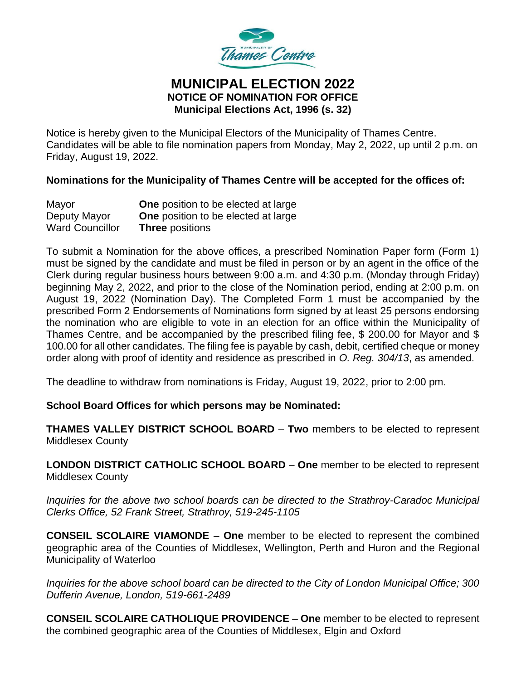

## **MUNICIPAL ELECTION 2022 NOTICE OF NOMINATION FOR OFFICE Municipal Elections Act, 1996 (s. 32)**

Notice is hereby given to the Municipal Electors of the Municipality of Thames Centre. Candidates will be able to file nomination papers from Monday, May 2, 2022, up until 2 p.m. on Friday, August 19, 2022.

**Nominations for the Municipality of Thames Centre will be accepted for the offices of:**

| Mayor                  | <b>One</b> position to be elected at large |
|------------------------|--------------------------------------------|
| Deputy Mayor           | <b>One</b> position to be elected at large |
| <b>Ward Councillor</b> | <b>Three positions</b>                     |

To submit a Nomination for the above offices, a prescribed Nomination Paper form (Form 1) must be signed by the candidate and must be filed in person or by an agent in the office of the Clerk during regular business hours between 9:00 a.m. and 4:30 p.m. (Monday through Friday) beginning May 2, 2022, and prior to the close of the Nomination period, ending at 2:00 p.m. on August 19, 2022 (Nomination Day). The Completed Form 1 must be accompanied by the prescribed Form 2 Endorsements of Nominations form signed by at least 25 persons endorsing the nomination who are eligible to vote in an election for an office within the Municipality of Thames Centre, and be accompanied by the prescribed filing fee, \$ 200.00 for Mayor and \$ 100.00 for all other candidates. The filing fee is payable by cash, debit, certified cheque or money order along with proof of identity and residence as prescribed in *O. Reg. 304/13*, as amended.

The deadline to withdraw from nominations is Friday, August 19, 2022, prior to 2:00 pm.

**School Board Offices for which persons may be Nominated:**

**THAMES VALLEY DISTRICT SCHOOL BOARD** – **Two** members to be elected to represent Middlesex County

**LONDON DISTRICT CATHOLIC SCHOOL BOARD** – **One** member to be elected to represent Middlesex County

*Inquiries for the above two school boards can be directed to the Strathroy-Caradoc Municipal Clerks Office, 52 Frank Street, Strathroy, 519-245-1105*

**CONSEIL SCOLAIRE VIAMONDE** – **One** member to be elected to represent the combined geographic area of the Counties of Middlesex, Wellington, Perth and Huron and the Regional Municipality of Waterloo

*Inquiries for the above school board can be directed to the City of London Municipal Office; 300 Dufferin Avenue, London, 519-661-2489*

**CONSEIL SCOLAIRE CATHOLIQUE PROVIDENCE** – **One** member to be elected to represent the combined geographic area of the Counties of Middlesex, Elgin and Oxford